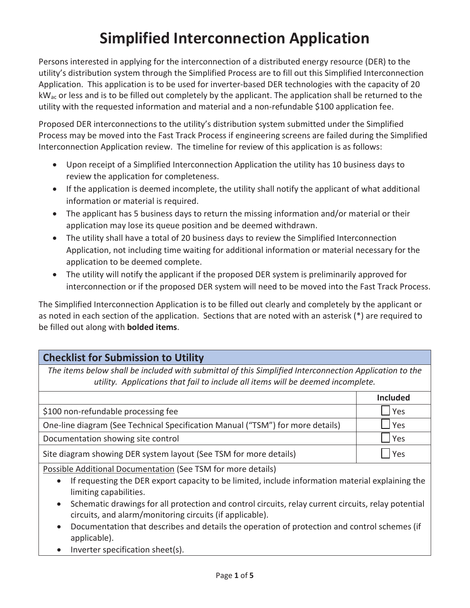# **Simplified Interconnection Application**

 Persons interested in applying for the interconnection of a distributed energy resource (DER) to the Application. This application is to be used for inverter-based DER technologies with the capacity of 20  $kW_{ac}$  or less and is to be filled out completely by the applicant. The application shall be returned to the utility's distribution system through the Simplified Process are to fill out this Simplified Interconnection utility with the requested information and material and a non-refundable \$100 application fee.

 Process may be moved into the Fast Track Process if engineering screens are failed during the Simplified Interconnection Application review. The timeline for review of this application is as follows: Proposed DER interconnections to the utility's distribution system submitted under the Simplified

- Upon receipt of a Simplified Interconnection Application the utility has 10 business days to review the application for completeness.
- information or material is required. • If the application is deemed incomplete, the utility shall notify the applicant of what additional
- The applicant has 5 business days to return the missing information and/or material or their application may lose its queue position and be deemed withdrawn.
- The utility shall have a total of 20 business days to review the Simplified Interconnection Application, not including time waiting for additional information or material necessary for the application to be deemed complete.
- The utility will notify the applicant if the proposed DER system is preliminarily approved for interconnection or if the proposed DER system will need to be moved into the Fast Track Process.

 as noted in each section of the application. Sections that are noted with an asterisk (\*) are required to be filled out along with **bolded items**. The Simplified Interconnection Application is to be filled out clearly and completely by the applicant or

## **Checklist for Submission to Utility**

 *The items below shall be included with submittal of this Simplified Interconnection Application to the utility. Applications that fail to include all items will be deemed incomplete.* 

|                                                                                | <b>Included</b> |
|--------------------------------------------------------------------------------|-----------------|
| \$100 non-refundable processing fee                                            | <b>Yes</b>      |
| One-line diagram (See Technical Specification Manual ("TSM") for more details) | I Yes           |
| Documentation showing site control                                             | Yes             |
| Site diagram showing DER system layout (See TSM for more details)              | <b>Yes</b>      |

Possible Additional Documentation (See TSM for more details)

- If requesting the DER export capacity to be limited, include information material explaining the limiting capabilities.
- Schematic drawings for all protection and control circuits, relay current circuits, relay potential circuits, and alarm/monitoring circuits (if applicable).
- Documentation that describes and details the operation of protection and control schemes (if applicable).
- $\bullet$  Inverter specification sheet(s).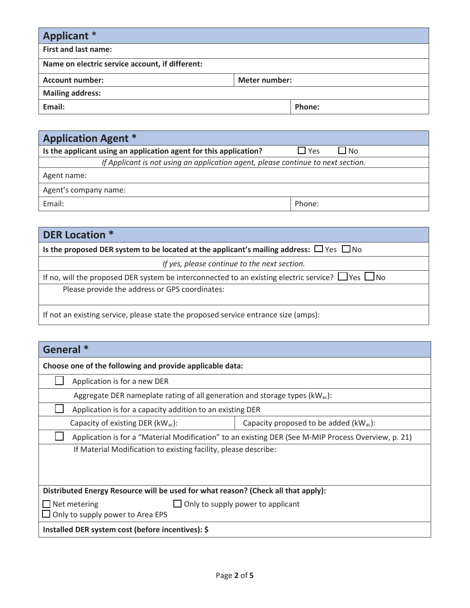| <b>Applicant</b> *                              |  |        |
|-------------------------------------------------|--|--------|
| <b>First and last name:</b>                     |  |        |
| Name on electric service account, if different: |  |        |
| <b>Meter number:</b><br><b>Account number:</b>  |  |        |
| <b>Mailing address:</b>                         |  |        |
| Email:                                          |  | Phone: |

| <b>Application Agent *</b>                                                       |            |           |
|----------------------------------------------------------------------------------|------------|-----------|
| Is the applicant using an application agent for this application?                | $\Box$ Yes | $\Box$ No |
| If Applicant is not using an application agent, please continue to next section. |            |           |
| Agent name:                                                                      |            |           |
| Agent's company name:                                                            |            |           |
| Email:                                                                           | Phone:     |           |

| <b>DER Location *</b>                                                                                       |
|-------------------------------------------------------------------------------------------------------------|
| Is the proposed DER system to be located at the applicant's mailing address: $\Box$ Yes $\Box$ No           |
| If yes, please continue to the next section.                                                                |
| If no, will the proposed DER system be interconnected to an existing electric service? $\Box$ Yes $\Box$ No |
| Please provide the address or GPS coordinates:                                                              |
| If not an existing service, please state the proposed service entrance size (amps):                         |

| General <sup>*</sup>                                                                                |                                             |  |
|-----------------------------------------------------------------------------------------------------|---------------------------------------------|--|
| Choose one of the following and provide applicable data:                                            |                                             |  |
| Application is for a new DER                                                                        |                                             |  |
| Aggregate DER nameplate rating of all generation and storage types ( $kW_{ac}$ ):                   |                                             |  |
| Application is for a capacity addition to an existing DER                                           |                                             |  |
| Capacity of existing DER ( $kW_{ac}$ ):                                                             | Capacity proposed to be added $(kW_{ac})$ : |  |
| Application is for a "Material Modification" to an existing DER (See M-MIP Process Overview, p. 21) |                                             |  |
| If Material Modification to existing facility, please describe:                                     |                                             |  |
|                                                                                                     |                                             |  |
|                                                                                                     |                                             |  |
| Distributed Energy Resource will be used for what reason? (Check all that apply):                   |                                             |  |
| $\Box$ Only to supply power to applicant<br>$\Box$ Net metering                                     |                                             |  |
| Only to supply power to Area EPS                                                                    |                                             |  |
| Installed DER system cost (before incentives): \$                                                   |                                             |  |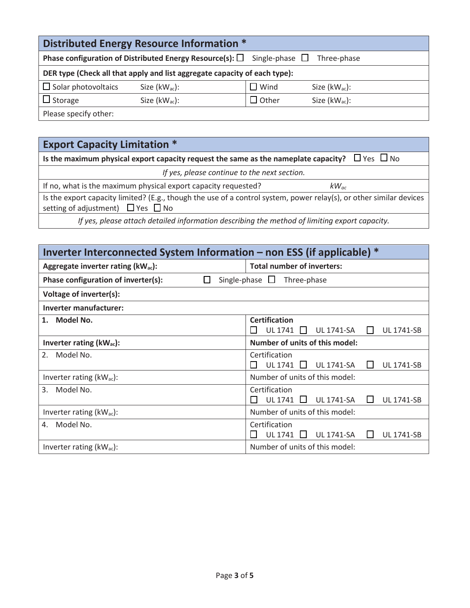|                                                                                                      | Distributed Energy Resource Information * |                |                    |
|------------------------------------------------------------------------------------------------------|-------------------------------------------|----------------|--------------------|
| <b>Phase configuration of Distributed Energy Resource(s):</b> $\Box$ Single-phase $\Box$ Three-phase |                                           |                |                    |
| DER type (Check all that apply and list aggregate capacity of each type):                            |                                           |                |                    |
| $\Box$ Solar photovoltaics                                                                           | Size $(kW_{ac})$ :                        | $\square$ Wind | Size $(kW_{ac})$ : |
| $\Box$ Storage                                                                                       | Size $(kW_{ac})$ :                        | $\Box$ Other   | Size $(kW_{ac})$ : |
| Please specify other:                                                                                |                                           |                |                    |

**Export Capacity Limitation \*** 

| Is the maximum physical export capacity request the same as the nameplate capacity? $\Box$ Yes $\Box$ No                                                           |  |  |
|--------------------------------------------------------------------------------------------------------------------------------------------------------------------|--|--|
| If yes, please continue to the next section.                                                                                                                       |  |  |
| If no, what is the maximum physical export capacity requested?<br>$kW_{ac}$                                                                                        |  |  |
| Is the export capacity limited? (E.g., though the use of a control system, power relay(s), or other similar devices<br>setting of adjustment) $\Box$ Yes $\Box$ No |  |  |
| If yes, please attach detailed information describing the method of limiting export capacity.                                                                      |  |  |

| Inverter Interconnected System Information – non ESS (if applicable) $*$ |                                                                         |  |
|--------------------------------------------------------------------------|-------------------------------------------------------------------------|--|
| Aggregate inverter rating (kWac):                                        | <b>Total number of inverters:</b>                                       |  |
| Phase configuration of inverter(s):                                      | Single-phase $\Box$<br>Three-phase                                      |  |
| Voltage of inverter(s):                                                  |                                                                         |  |
| Inverter manufacturer:                                                   |                                                                         |  |
| Model No.<br>1.                                                          | <b>Certification</b>                                                    |  |
|                                                                          | UL 1741<br><b>UL 1741-SA</b><br><b>UL 1741-SB</b><br>$\perp$            |  |
| Inverter rating $(kW_{ac})$ :                                            | <b>Number of units of this model:</b>                                   |  |
| 2.<br>Model No.                                                          | Certification                                                           |  |
|                                                                          | UL 1741<br><b>UL 1741-SA</b><br><b>UL 1741-SB</b><br>$\perp$<br>$\perp$ |  |
| Inverter rating $(kW_{ac})$ :                                            | Number of units of this model:                                          |  |
| Model No.<br>3.                                                          | Certification                                                           |  |
|                                                                          | UL 1741<br><b>UL 1741-SA</b><br><b>UL 1741-SB</b><br>$\perp$            |  |
| Inverter rating $(kW_{ac})$ :                                            | Number of units of this model:                                          |  |
| Model No.<br>4.                                                          | Certification                                                           |  |
|                                                                          | <b>UL 1741-SB</b><br>UL 1741<br><b>UL 1741-SA</b><br>$\mathbf{L}$       |  |
| Inverter rating $(kW_{ac})$ :                                            | Number of units of this model:                                          |  |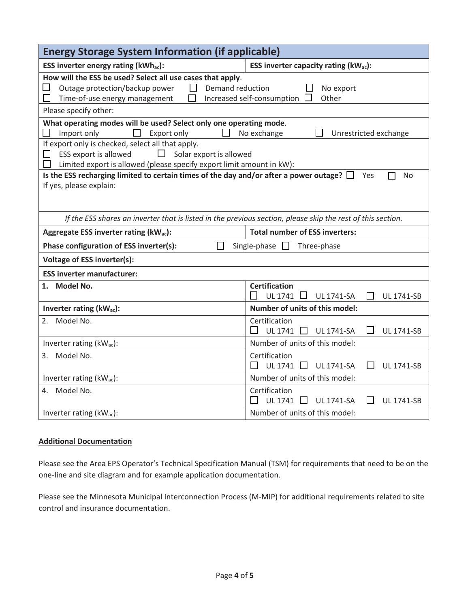| <b>Energy Storage System Information (if applicable)</b>                                                                                                                                                                            |                                                                                      |  |
|-------------------------------------------------------------------------------------------------------------------------------------------------------------------------------------------------------------------------------------|--------------------------------------------------------------------------------------|--|
| ESS inverter energy rating (kWhac):                                                                                                                                                                                                 | ESS inverter capacity rating ( $kW_{ac}$ ):                                          |  |
| How will the ESS be used? Select all use cases that apply.<br>$\blacksquare$<br>Outage protection/backup power<br>$\Box$<br>Demand reduction<br>No export<br>Increased self-consumption L<br>Other<br>Time-of-use energy management |                                                                                      |  |
| Please specify other:                                                                                                                                                                                                               |                                                                                      |  |
| What operating modes will be used? Select only one operating mode.<br>Import only<br>Export only                                                                                                                                    | No exchange<br>Unrestricted exchange                                                 |  |
| If export only is checked, select all that apply.<br>ESS export is allowed<br>Solar export is allowed<br>Limited export is allowed (please specify export limit amount in kW):                                                      |                                                                                      |  |
| Is the ESS recharging limited to certain times of the day and/or after a power outage? $\square$<br>Yes<br><b>No</b><br>If yes, please explain:                                                                                     |                                                                                      |  |
| If the ESS shares an inverter that is listed in the previous section, please skip the rest of this section.                                                                                                                         |                                                                                      |  |
| Aggregate ESS inverter rating (kW <sub>ac</sub> ):                                                                                                                                                                                  | <b>Total number of ESS inverters:</b>                                                |  |
| Phase configuration of ESS inverter(s):<br>Single-phase $\square$<br>Three-phase                                                                                                                                                    |                                                                                      |  |
| Voltage of ESS inverter(s):                                                                                                                                                                                                         |                                                                                      |  |
| <b>ESS inverter manufacturer:</b>                                                                                                                                                                                                   |                                                                                      |  |
| Model No.<br>1.                                                                                                                                                                                                                     | <b>Certification</b><br><b>UL 1741</b><br><b>UL 1741-SA</b><br><b>UL 1741-SB</b>     |  |
| Inverter rating $(kW_{ac})$ :                                                                                                                                                                                                       | Number of units of this model:                                                       |  |
| Model No.<br>2.                                                                                                                                                                                                                     | Certification<br><b>UL 1741</b><br>$\perp$<br><b>UL 1741-SA</b><br><b>UL 1741-SB</b> |  |
| Inverter rating $(kW_{ac})$ :                                                                                                                                                                                                       | Number of units of this model:                                                       |  |
| Model No.<br>3.                                                                                                                                                                                                                     | Certification<br><b>UL 1741</b><br>$\perp$<br><b>UL 1741-SA</b><br><b>UL 1741-SB</b> |  |
| Inverter rating $(kW_{ac})$ :                                                                                                                                                                                                       | Number of units of this model:                                                       |  |
| Model No.<br>4.                                                                                                                                                                                                                     | Certification<br><b>UL 1741</b><br><b>UL 1741-SA</b><br><b>UL 1741-SB</b><br>$\perp$ |  |
| Inverter rating (kWac):                                                                                                                                                                                                             | Number of units of this model:                                                       |  |

#### **Additional Documentation**

 Please see the Area EPS Operator's Technical Specification Manual (TSM) for requirements that need to be on the one-line and site diagram and for example application documentation.

 control and insurance documentation. Please see the Minnesota Municipal Interconnection Process (M-MIP) for additional requirements related to site